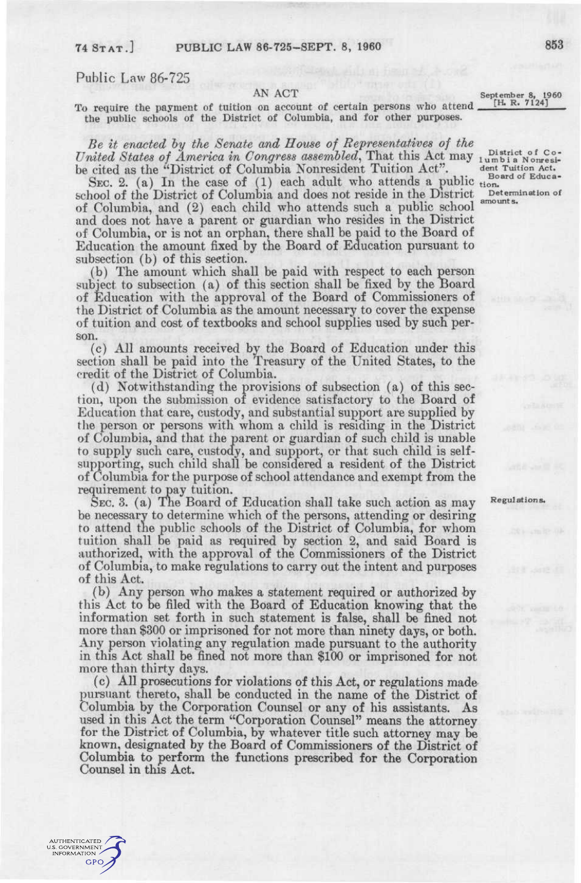AUTHENTICATED<br>J.S. GOVERNMENT<br>INFORMATION **GPO** 

Public Law 86-725

AN ACT<br>
September 8, 1960<br>
Th R. 7124] To require the payment of tuition on account of certain persons who attend. the public schools of the District of Columbia, and for other purposes.

United States of America in Congress assembled, That this Act may lumbia Nonresi-*Be it enacted hy the Senate and House of Representatwes of the*  be cited as the "District of Columbia Nonresident Tuition Act".  $\frac{1}{\text{Sond of Endes}}$ 

SEC. 2. (a) In the case of (1) each adult who attends a public tion.<br>SEC. 2. (a) In the case of (1) each adult who attends a public tion. school of the District of Columbia and does not reside in the District Determ of Columbia, and (2) each child who attends such a public school and does not have a parent or guardian who resides in the District of Columbia, or is not an orphan, there shall be paid to the Board of Education the amount fixed by the Board of Education pursuant to subsection (b) of this section.

(b) The amount which shall be paid with respect to each person subject to subsection (a) of this section shall be fixed by the Board of Education with the approval of the Board of Commissioners of the District of Columbia as the amount necessary to cover the expense of tuition and cost of textbooks and school supplies used by such person.

(c) All amounts received by the Board of Education under this section shall be paid into the Treasury of the United States, to the credit of the District of Columbia.

(d) Notwithstanding the provisions of subsection (a) of this section, upon the submission of evidence satisfactory to the Board of Education that care, custody, and substantial support are supplied by the person or persons with whom a child is residing in the District of Columbia, and that the parent or guardian of such child is unable to supply such care, custody, and support, or that such child is selfsupporting, such child shall be considered a resident of the District of Columbia for the purpose of school attendance and exempt from the requirement to pay tuition.

SEC. 3. (a) The Board of Education shall take such action as may Regulations. be necessary to determine which of the persons, attending or desiring to attend the public schools of the District of Columbia, for whom tuition shall be paid as required by section 2, and said Board is authorized, with the approval of the Commissioners of the District of Columbia, to make regulations to carry out the intent and purposes of this Act.

(b) Any person who makes a statement required or authorized by this Act to be filed with the Board of Education knowing that the information set forth in such statement is false, shall be fined not more than \$300 or imprisoned for not more than ninety days, or both. Any person violating any regulation made pursuant to the authority in this Act shall be fined not more than \$100 or imprisoned for not more than thirty days.

(c) All prosecutions for violations of this Act, or regulations made pursuant thereto, shall be conducted in the name of the District of Columbia by the Corporation Counsel or any of his assistants. As used in this Act the term "Corporation Counsel" means the attorney for the District of Columbia, by whatever title such attorney may be known, designated by the Board of Commissioners of the District of Columbia to perform the functions prescribed for the Corporation Counsel in this Act.